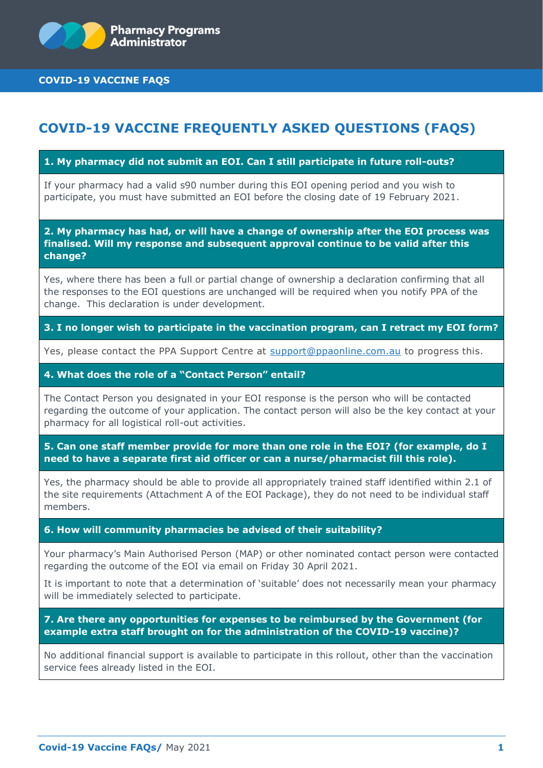

**COVID-19 VACCINE FAQS**

# **COVID-19 VACCINE FREQUENTLY ASKED QUESTIONS (FAQS)**

## **1. My pharmacy did not submit an EOI. Can I still participate in future roll-outs?**

If your pharmacy had a valid s90 number during this EOI opening period and you wish to participate, you must have submitted an EOI before the closing date of 19 February 2021.

**2. My pharmacy has had, or will have a change of ownership after the EOI process was finalised. Will my response and subsequent approval continue to be valid after this change?**

Yes, where there has been a full or partial change of ownership a declaration confirming that all the responses to the EOI questions are unchanged will be required when you notify PPA of the change. This declaration is under development.

## **3. I no longer wish to participate in the vaccination program, can I retract my EOI form?**

Yes, please contact the PPA Support Centre at [support@ppaonline.com.au](mailto:support@ppaonline.com.au) to progress this.

## **4. What does the role of a "Contact Person" entail?**

The Contact Person you designated in your EOI response is the person who will be contacted regarding the outcome of your application. The contact person will also be the key contact at your pharmacy for all logistical roll-out activities.

**5. Can one staff member provide for more than one role in the EOI? (for example, do I need to have a separate first aid officer or can a nurse/pharmacist fill this role).**

Yes, the pharmacy should be able to provide all appropriately trained staff identified within 2.1 of the site requirements (Attachment A of the EOI Package), they do not need to be individual staff members.

#### **6. How will community pharmacies be advised of their suitability?**

Your pharmacy's Main Authorised Person (MAP) or other nominated contact person were contacted regarding the outcome of the EOI via email on Friday 30 April 2021.

It is important to note that a determination of 'suitable' does not necessarily mean your pharmacy will be immediately selected to participate.

## **7. Are there any opportunities for expenses to be reimbursed by the Government (for example extra staff brought on for the administration of the COVID-19 vaccine)?**

No additional financial support is available to participate in this rollout, other than the vaccination service fees already listed in the EOI.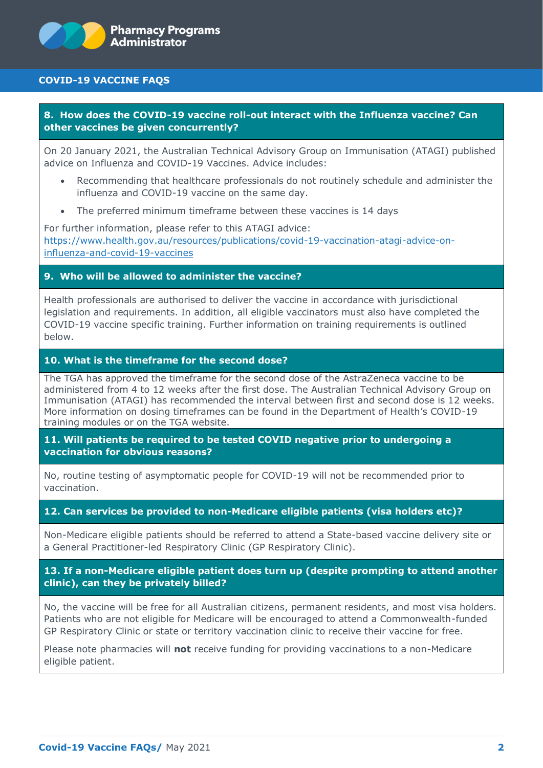# **COVID-19 VACCINE FAQS**

**8. How does the COVID-19 vaccine roll-out interact with the Influenza vaccine? Can other vaccines be given concurrently?**

On 20 January 2021, the Australian Technical Advisory Group on Immunisation (ATAGI) published advice on Influenza and COVID-19 Vaccines. Advice includes:

- Recommending that healthcare professionals do not routinely schedule and administer the influenza and COVID-19 vaccine on the same day.
- The preferred minimum timeframe between these vaccines is 14 days

For further information, please refer to this ATAGI advice: [https://www.health.gov.au/resources/publications/covid-19-vaccination-atagi-advice-on](https://www.health.gov.au/resources/publications/covid-19-vaccination-atagi-advice-on-influenza-and-covid-19-vaccines)[influenza-and-covid-19-vaccines](https://www.health.gov.au/resources/publications/covid-19-vaccination-atagi-advice-on-influenza-and-covid-19-vaccines)

# **9. Who will be allowed to administer the vaccine?**

Health professionals are authorised to deliver the vaccine in accordance with jurisdictional legislation and requirements. In addition, all eligible vaccinators must also have completed the COVID-19 vaccine specific training. Further information on training requirements is outlined below.

## **10. What is the timeframe for the second dose?**

The TGA has approved the timeframe for the second dose of the AstraZeneca vaccine to be administered from 4 to 12 weeks after the first dose. The Australian Technical Advisory Group on Immunisation (ATAGI) has recommended the interval between first and second dose is 12 weeks. More information on dosing timeframes can be found in the Department of Health's COVID-19 training modules or on the TGA website.

**11. Will patients be required to be tested COVID negative prior to undergoing a vaccination for obvious reasons?**

No, routine testing of asymptomatic people for COVID-19 will not be recommended prior to vaccination.

#### **12. Can services be provided to non-Medicare eligible patients (visa holders etc)?**

Non-Medicare eligible patients should be referred to attend a State-based vaccine delivery site or a General Practitioner-led Respiratory Clinic (GP Respiratory Clinic).

# **13. If a non-Medicare eligible patient does turn up (despite prompting to attend another clinic), can they be privately billed?**

No, the vaccine will be free for all Australian citizens, permanent residents, and most visa holders. Patients who are not eligible for Medicare will be encouraged to attend a Commonwealth-funded GP Respiratory Clinic or state or territory vaccination clinic to receive their vaccine for free.

Please note pharmacies will **not** receive funding for providing vaccinations to a non-Medicare eligible patient.